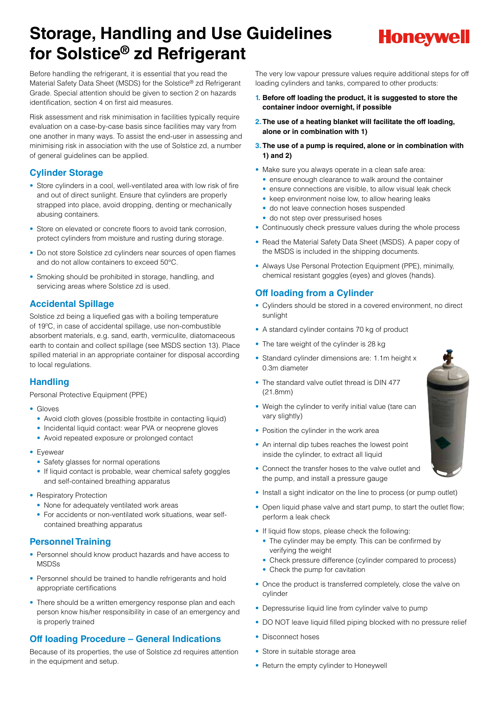# **Storage, Handling and Use Guidelines for Solstice® zd Refrigerant**



Before handling the refrigerant, it is essential that you read the Material Safety Data Sheet (MSDS) for the Solstice® zd Refrigerant Grade. Special attention should be given to section 2 on hazards identification, section 4 on first aid measures.

Risk assessment and risk minimisation in facilities typically require evaluation on a case-by-case basis since facilities may vary from one another in many ways. To assist the end-user in assessing and minimising risk in association with the use of Solstice zd, a number of general guidelines can be applied.

## **Cylinder Storage**

- Store cylinders in a cool, well-ventilated area with low risk of fire and out of direct sunlight. Ensure that cylinders are properly strapped into place, avoid dropping, denting or mechanically abusing containers.
- Store on elevated or concrete floors to avoid tank corrosion, protect cylinders from moisture and rusting during storage.
- Do not store Solstice zd cylinders near sources of open flames and do not allow containers to exceed 50°C.
- Smoking should be prohibited in storage, handling, and servicing areas where Solstice zd is used.

## **Accidental Spillage**

Solstice zd being a liquefied gas with a boiling temperature of 19ºC, in case of accidental spillage, use non-combustible absorbent materials, e.g. sand, earth, vermiculite, diatomaceous earth to contain and collect spillage (see MSDS section 13). Place spilled material in an appropriate container for disposal according to local regulations.

## **Handling**

Personal Protective Equipment (PPE)

- Gloves
	- Avoid cloth gloves (possible frostbite in contacting liquid)
	- Incidental liquid contact: wear PVA or neoprene gloves
	- Avoid repeated exposure or prolonged contact
- Eyewear
	- Safety glasses for normal operations
	- If liquid contact is probable, wear chemical safety goggles and self-contained breathing apparatus
- Respiratory Protection
	- None for adequately ventilated work areas
	- For accidents or non-ventilated work situations, wear selfcontained breathing apparatus

## **Personnel Training**

- Personnel should know product hazards and have access to **MSDSs**
- Personnel should be trained to handle refrigerants and hold appropriate certifications
- There should be a written emergency response plan and each person know his/her responsibility in case of an emergency and is properly trained

# **Off loading Procedure – General Indications**

Because of its properties, the use of Solstice zd requires attention in the equipment and setup.

The very low vapour pressure values require additional steps for off loading cylinders and tanks, compared to other products:

- **1. Before off loading the product, it is suggested to store the container indoor overnight, if possible**
- **2. The use of a heating blanket will facilitate the off loading, alone or in combination with 1)**
- **3. The use of a pump is required, alone or in combination with 1) and 2)**
- Make sure you always operate in a clean safe area:
	- ensure enough clearance to walk around the container
	- ensure connections are visible, to allow visual leak check
	- keep environment noise low, to allow hearing leaks
	- do not leave connection hoses suspended
	- do not step over pressurised hoses
- Continuously check pressure values during the whole process
- Read the Material Safety Data Sheet (MSDS). A paper copy of the MSDS is included in the shipping documents.
- Always Use Personal Protection Equipment (PPE), minimally, chemical resistant goggles (eyes) and gloves (hands).

# **Off loading from a Cylinder**

- Cylinders should be stored in a covered environment, no direct sunlight
- A standard cylinder contains 70 kg of product
- The tare weight of the cylinder is 28 kg
- Standard cylinder dimensions are: 1.1m height x 0.3m diameter
- The standard valve outlet thread is DIN 477 (21.8mm)
- Weigh the cylinder to verify initial value (tare can vary slightly)
- Position the cylinder in the work area
- An internal dip tubes reaches the lowest point inside the cylinder, to extract all liquid
- Connect the transfer hoses to the valve outlet and the pump, and install a pressure gauge
- Install a sight indicator on the line to process (or pump outlet)
- Open liquid phase valve and start pump, to start the outlet flow; perform a leak check
- If liquid flow stops, please check the following:
	- The cylinder may be empty. This can be confirmed by verifying the weight
	- Check pressure difference (cylinder compared to process)
	- Check the pump for cavitation
- Once the product is transferred completely, close the valve on cylinder
- Depressurise liquid line from cylinder valve to pump
- DO NOT leave liquid filled piping blocked with no pressure relief
- Disconnect hoses
- Store in suitable storage area
- Return the empty cylinder to Honeywell

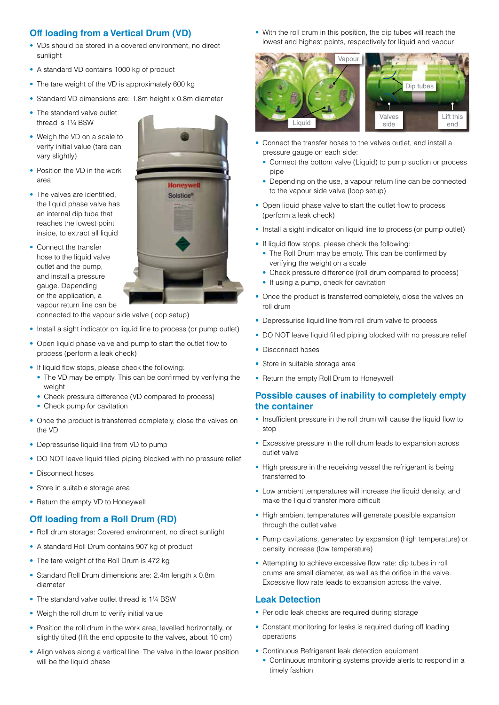# **Off loading from a Vertical Drum (VD)**

- VDs should be stored in a covered environment, no direct sunlight
- A standard VD contains 1000 kg of product
- The tare weight of the VD is approximately 600 kg
- Standard VD dimensions are: 1.8m height x 0.8m diameter
- The standard valve outlet thread is 1¼ BSW
- Weigh the VD on a scale to verify initial value (tare can vary slightly)
- Position the VD in the work area
- The valves are identified, the liquid phase valve has an internal dip tube that reaches the lowest point inside, to extract all liquid
- Connect the transfer hose to the liquid valve outlet and the pump, and install a pressure gauge. Depending on the application, a vapour return line can be



- connected to the vapour side valve (loop setup)
- Install a sight indicator on liquid line to process (or pump outlet)
- Open liquid phase valve and pump to start the outlet flow to process (perform a leak check)
- If liquid flow stops, please check the following:
- The VD may be empty. This can be confirmed by verifying the weight
- Check pressure difference (VD compared to process)
- Check pump for cavitation
- Once the product is transferred completely, close the valves on the VD
- Depressurise liquid line from VD to pump
- DO NOT leave liquid filled piping blocked with no pressure relief
- Disconnect hoses
- Store in suitable storage area
- Return the empty VD to Honeywell

#### **Off loading from a Roll Drum (RD)**

- Roll drum storage: Covered environment, no direct sunlight
- A standard Roll Drum contains 907 kg of product
- The tare weight of the Roll Drum is 472 kg
- Standard Roll Drum dimensions are: 2.4m length x 0.8m diameter
- The standard valve outlet thread is 11/4 BSW
- Weigh the roll drum to verify initial value
- Position the roll drum in the work area, levelled horizontally, or slightly tilted (lift the end opposite to the valves, about 10 cm)
- Align valves along a vertical line. The valve in the lower position will be the liquid phase

• With the roll drum in this position, the dip tubes will reach the lowest and highest points, respectively for liquid and vapour



- Connect the transfer hoses to the valves outlet, and install a pressure gauge on each side:
- Connect the bottom valve (Liquid) to pump suction or process pipe
- Depending on the use, a vapour return line can be connected to the vapour side valve (loop setup)
- Open liquid phase valve to start the outlet flow to process (perform a leak check)
- Install a sight indicator on liquid line to process (or pump outlet)
- If liquid flow stops, please check the following:
	- The Roll Drum may be empty. This can be confirmed by verifying the weight on a scale
	- Check pressure difference (roll drum compared to process)
	- If using a pump, check for cavitation
- Once the product is transferred completely, close the valves on roll drum
- Depressurise liquid line from roll drum valve to process
- DO NOT leave liquid filled piping blocked with no pressure relief
- Disconnect hoses
- Store in suitable storage area
- Return the empty Roll Drum to Honeywell

#### **Possible causes of inability to completely empty the container**

- Insufficient pressure in the roll drum will cause the liquid flow to stop
- Excessive pressure in the roll drum leads to expansion across outlet valve
- High pressure in the receiving vessel the refrigerant is being transferred to
- Low ambient temperatures will increase the liquid density, and make the liquid transfer more difficult
- High ambient temperatures will generate possible expansion through the outlet valve
- Pump cavitations, generated by expansion (high temperature) or density increase (low temperature)
- Attempting to achieve excessive flow rate: dip tubes in roll drums are small diameter, as well as the orifice in the valve. Excessive flow rate leads to expansion across the valve.

#### **Leak Detection**

- Periodic leak checks are required during storage
- Constant monitoring for leaks is required during off loading operations
- Continuous Refrigerant leak detection equipment
- Continuous monitoring systems provide alerts to respond in a timely fashion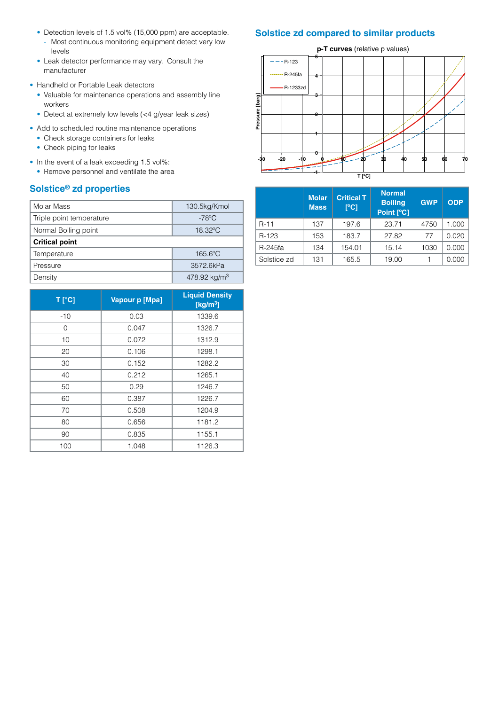- Detection levels of 1.5 vol% (15,000 ppm) are acceptable.
- Most continuous monitoring equipment detect very low levels
- Leak detector performance may vary. Consult the manufacturer
- Handheld or Portable Leak detectors
	- Valuable for maintenance operations and assembly line workers
	- Detect at extremely low levels (<4 g/year leak sizes)
- Add to scheduled routine maintenance operations
	- Check storage containers for leaks
	- Check piping for leaks
- In the event of a leak exceeding 1.5 vol%:
- Remove personnel and ventilate the area

# **Solstice® zd properties**

| Molar Mass                       | 130.5kg/Kmol             |  |  |  |  |
|----------------------------------|--------------------------|--|--|--|--|
| Triple point temperature         | $-78^{\circ}$ C          |  |  |  |  |
| Normal Boiling point             | 18.32°C                  |  |  |  |  |
| <b>Critical point</b>            |                          |  |  |  |  |
| $165.6^{\circ}$ C<br>Temperature |                          |  |  |  |  |
| Pressure                         | 3572.6kPa                |  |  |  |  |
| Density                          | 478.92 kg/m <sup>3</sup> |  |  |  |  |

| T [°C] | Vapour p [Mpa] | <b>Liquid Density</b><br>[ $kg/m3$ ] |  |
|--------|----------------|--------------------------------------|--|
| $-10$  | 0.03           | 1339.6                               |  |
| 0      | 0.047          | 1326.7                               |  |
| 10     | 0.072          |                                      |  |
| 20     | 0.106          | 1298.1                               |  |
| 30     | 0.152          | 1282.2                               |  |
| 40     | 0.212          | 1265.1                               |  |
| 50     | 0.29           | 1246.7                               |  |
| 60     | 0.387          | 1226.7                               |  |
| 70     | 0.508          | 1204.9                               |  |
| 80     | 0.656          | 1181.2                               |  |
| 90     | 0.835          | 1155.1                               |  |
| 100    | 1.048          | 1126.3                               |  |

# **Solstice zd compared to similar products**

**p-T curves** (relative p values)



|             | <b>Molar</b><br><b>Mass</b> | <b>Critical T</b><br>$\Gamma$ <sup>o</sup> Cl | <b>Normal</b><br><b>Boiling</b><br>Point [°C] | <b>GWP</b> | <b>ODP</b> |
|-------------|-----------------------------|-----------------------------------------------|-----------------------------------------------|------------|------------|
| $R - 11$    | 137                         | 197.6                                         | 23.71                                         | 4750       | 1.000      |
| R-123       | 153                         | 183.7                                         | 27.82                                         | 77         | 0.020      |
| R-245fa     | 134                         | 154.01                                        | 15.14                                         | 1030       | 0.000      |
| Solstice zd | 131                         | 165.5                                         | 19.00                                         |            | 0.000      |